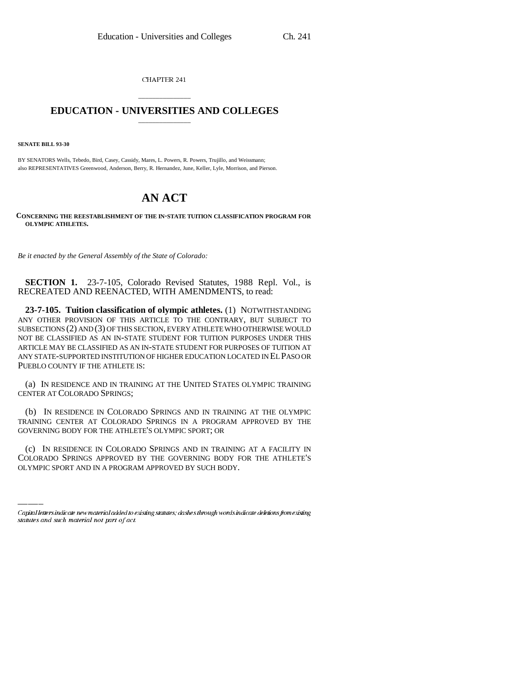CHAPTER 241

## \_\_\_\_\_\_\_\_\_\_\_\_\_\_\_ **EDUCATION - UNIVERSITIES AND COLLEGES** \_\_\_\_\_\_\_\_\_\_\_\_\_\_\_

**SENATE BILL 93-30**

BY SENATORS Wells, Tebedo, Bird, Casey, Cassidy, Mares, L. Powers, R. Powers, Trujillo, and Weissmann; also REPRESENTATIVES Greenwood, Anderson, Berry, R. Hernandez, June, Keller, Lyle, Morrison, and Pierson.

## **AN ACT**

**CONCERNING THE REESTABLISHMENT OF THE IN-STATE TUITION CLASSIFICATION PROGRAM FOR OLYMPIC ATHLETES.**

*Be it enacted by the General Assembly of the State of Colorado:*

**SECTION 1.** 23-7-105, Colorado Revised Statutes, 1988 Repl. Vol., is RECREATED AND REENACTED, WITH AMENDMENTS, to read:

**23-7-105. Tuition classification of olympic athletes.** (1) NOTWITHSTANDING ANY OTHER PROVISION OF THIS ARTICLE TO THE CONTRARY, BUT SUBJECT TO SUBSECTIONS (2) AND (3) OF THIS SECTION, EVERY ATHLETE WHO OTHERWISE WOULD NOT BE CLASSIFIED AS AN IN-STATE STUDENT FOR TUITION PURPOSES UNDER THIS ARTICLE MAY BE CLASSIFIED AS AN IN-STATE STUDENT FOR PURPOSES OF TUITION AT ANY STATE-SUPPORTED INSTITUTION OF HIGHER EDUCATION LOCATED IN EL PASO OR PUEBLO COUNTY IF THE ATHLETE IS:

(a) IN RESIDENCE AND IN TRAINING AT THE UNITED STATES OLYMPIC TRAINING CENTER AT COLORADO SPRINGS;

(b) IN RESIDENCE IN COLORADO SPRINGS AND IN TRAINING AT THE OLYMPIC TRAINING CENTER AT COLORADO SPRINGS IN A PROGRAM APPROVED BY THE GOVERNING BODY FOR THE ATHLETE'S OLYMPIC SPORT; OR

(c) IN RESIDENCE IN COLORADO SPRINGS AND IN TRAINING AT A FACILITY IN COLORADO SPRINGS APPROVED BY THE GOVERNING BODY FOR THE ATHLETE'S OLYMPIC SPORT AND IN A PROGRAM APPROVED BY SUCH BODY.

Capital letters indicate new material added to existing statutes; dashes through words indicate deletions from existing statutes and such material not part of act.